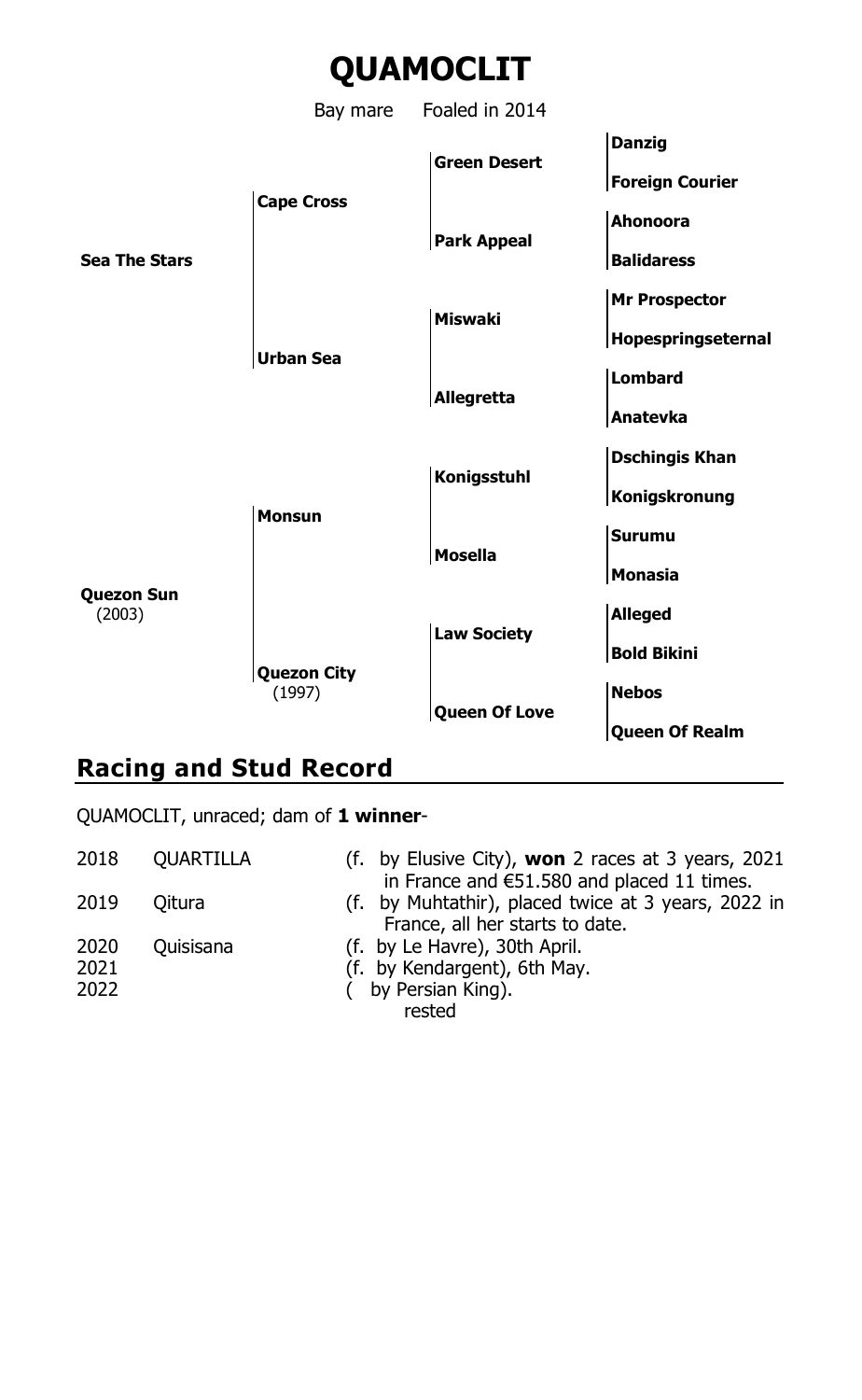

# **Racing and Stud Record**

QUAMOCLIT, unraced; dam of **1 winner**-

 QUARTILLA (f. by Elusive City), **won** 2 races at 3 years, 2021 in France and €51.580 and placed 11 times. Qitura (f. by Muhtathir), placed twice at 3 years, 2022 in France, all her starts to date. Quisisana (f. by Le Havre), 30th April. (f. by Kendargent), 6th May. ( by Persian King). rested